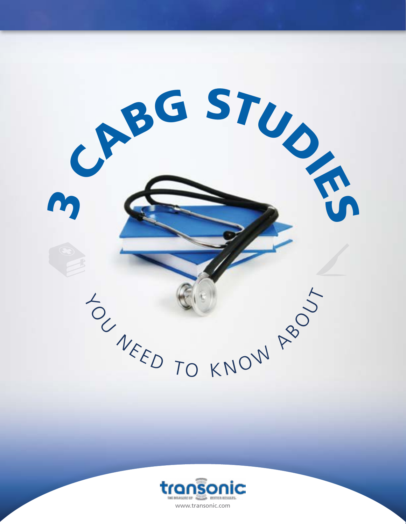

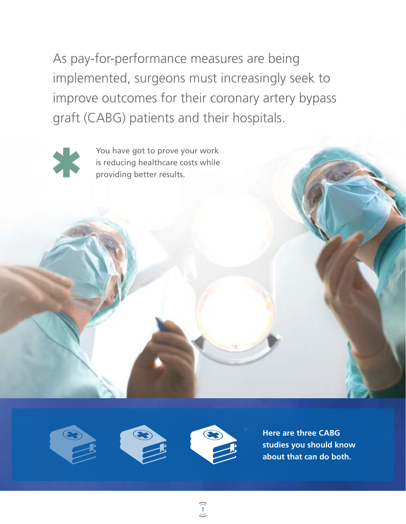As pay-for-performance measures are being implemented, surgeons must increasingly seek to improve outcomes for their coronary artery bypass graft (CABG) patients and their hospitals.



You have got to prove your work is reducing healthcare costs while providing better results.







(<br>1<br>)

**Here are three CABG studies you should know about that can do both.**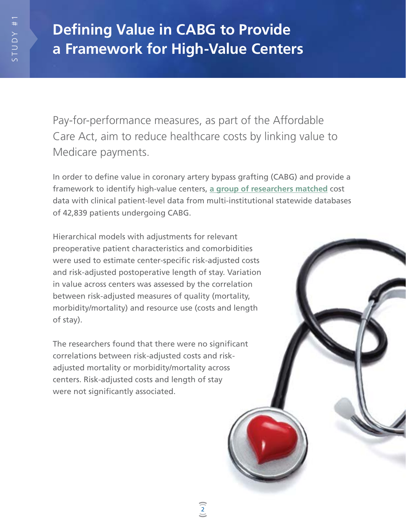# **Defining Value in CABG to Provide a Framework for High-Value Centers**

Pay-for-performance measures, as part of the Affordable Care Act, aim to reduce healthcare costs by linking value to Medicare payments.

In order to define value in coronary artery bypass grafting (CABG) and provide a framework to identify high-value centers, **[a group of researchers matched](http://www.ncbi.nlm.nih.gov/pubmed/25238884)** cost data with clinical patient-level data from multi-institutional statewide databases of 42,839 patients undergoing CABG.

Hierarchical models with adjustments for relevant preoperative patient characteristics and comorbidities were used to estimate center-specific risk-adjusted costs and risk-adjusted postoperative length of stay. Variation in value across centers was assessed by the correlation between risk-adjusted measures of quality (mortality, morbidity/mortality) and resource use (costs and length of stay).

The researchers found that there were no significant correlations between risk-adjusted costs and riskadjusted mortality or morbidity/mortality across centers. Risk-adjusted costs and length of stay were not significantly associated.

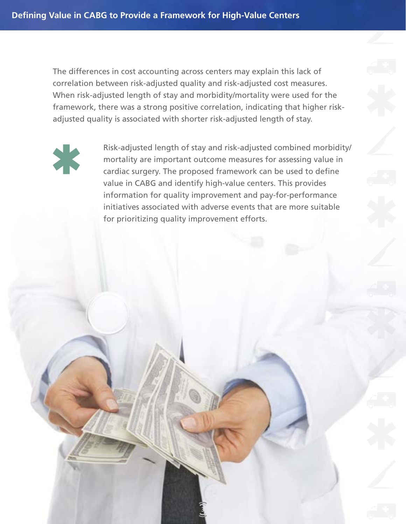The differences in cost accounting across centers may explain this lack of correlation between risk-adjusted quality and risk-adjusted cost measures. When risk-adjusted length of stay and morbidity/mortality were used for the framework, there was a strong positive correlation, indicating that higher riskadjusted quality is associated with shorter risk-adjusted length of stay.

3



Risk-adjusted length of stay and risk-adjusted combined morbidity/ mortality are important outcome measures for assessing value in cardiac surgery. The proposed framework can be used to define value in CABG and identify high-value centers. This provides information for quality improvement and pay-for-performance initiatives associated with adverse events that are more suitable for prioritizing quality improvement efforts.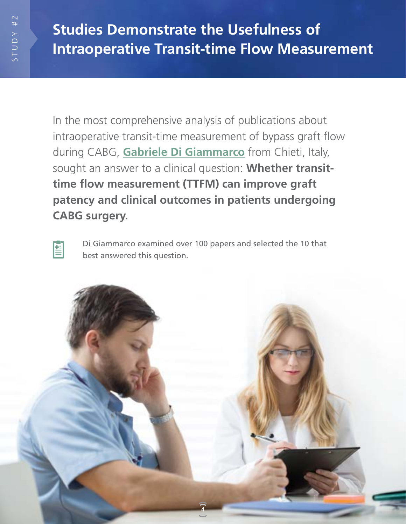In the most comprehensive analysis of publications about intraoperative transit-time measurement of bypass graft flow during CABG, **[Gabriele Di Giammarco](http://www.ncbi.nlm.nih.gov/pubmed/20682631)** from Chieti, Italy, sought an answer to a clinical question: **Whether transittime flow measurement (TTFM) can improve graft patency and clinical outcomes in patients undergoing CABG surgery.**



Di Giammarco examined over 100 papers and selected the 10 that best answered this question.

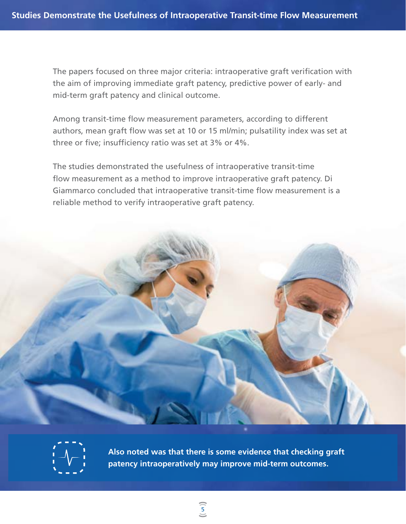The papers focused on three major criteria: intraoperative graft verification with the aim of improving immediate graft patency, predictive power of early- and mid-term graft patency and clinical outcome.

Among transit-time flow measurement parameters, according to different authors, mean graft flow was set at 10 or 15 ml/min; pulsatility index was set at three or five; insufficiency ratio was set at 3% or 4%.

The studies demonstrated the usefulness of intraoperative transit-time flow measurement as a method to improve intraoperative graft patency. Di Giammarco concluded that intraoperative transit-time flow measurement is a reliable method to verify intraoperative graft patency.





**Also noted was that there is some evidence that checking graft patency intraoperatively may improve mid-term outcomes.**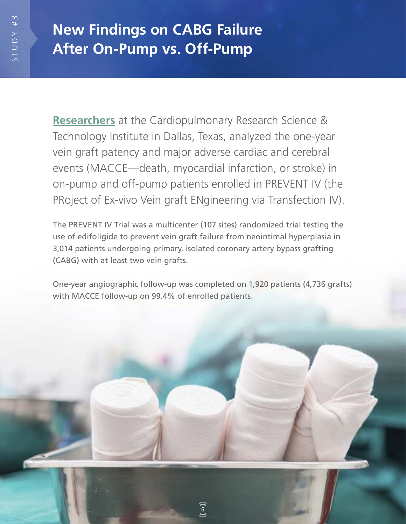## **New Findings on CABG Failure After On-Pump vs. Off-Pump**

**[Researchers](http://www.ncbi.nlm.nih.gov/pubmed/18222251)** at the Cardiopulmonary Research Science & Technology Institute in Dallas, Texas, analyzed the one-year vein graft patency and major adverse cardiac and cerebral events (MACCE—death, myocardial infarction, or stroke) in on-pump and off-pump patients enrolled in PREVENT IV (the PRoject of Ex-vivo Vein graft ENgineering via Transfection IV).

The PREVENT IV Trial was a multicenter (107 sites) randomized trial testing the use of edifoligide to prevent vein graft failure from neointimal hyperplasia in 3,014 patients undergoing primary, isolated coronary artery bypass grafting (CABG) with at least two vein grafts.

One-year angiographic follow-up was completed on 1,920 patients (4,736 grafts) with MACCE follow-up on 99.4% of enrolled patients.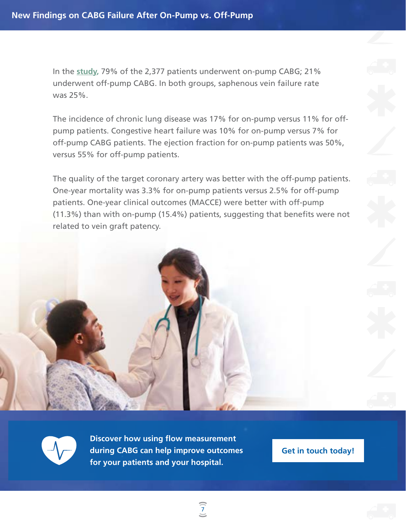In the **[study,](http://www.ncbi.nlm.nih.gov/pubmed/16287955)** 79% of the 2,377 patients underwent on-pump CABG; 21% underwent off-pump CABG. In both groups, saphenous vein failure rate was 25%.

The incidence of chronic lung disease was 17% for on-pump versus 11% for offpump patients. Congestive heart failure was 10% for on-pump versus 7% for off-pump CABG patients. The ejection fraction for on-pump patients was 50%, versus 55% for off-pump patients.

The quality of the target coronary artery was better with the off-pump patients. One-year mortality was 3.3% for on-pump patients versus 2.5% for off-pump patients. One-year clinical outcomes (MACCE) were better with off-pump (11.3%) than with on-pump (15.4%) patients, suggesting that benefits were not related to vein graft patency.



**Discover how using flow measurement during CABG can help improve outcomes for your patients and your hospital.**

**Get in touch today!**